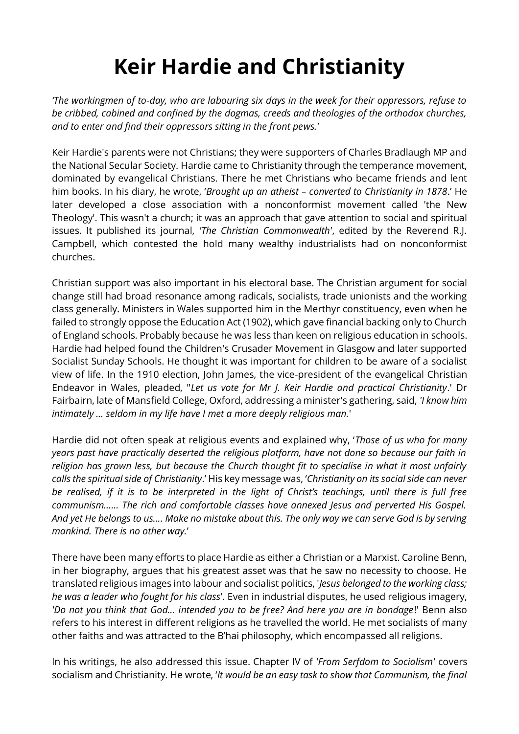## **Keir Hardie and Christianity**

*'The workingmen of to-day, who are labouring six days in the week for their oppressors, refuse to be cribbed, cabined and confined by the dogmas, creeds and theologies of the orthodox churches, and to enter and find their oppressors sitting in the front pews.'*

Keir Hardie's parents were not Christians; they were supporters of Charles Bradlaugh MP and the National Secular Society. Hardie came to Christianity through the temperance movement, dominated by evangelical Christians. There he met Christians who became friends and lent him books. In his diary, he wrote, '*Brought up an atheist – converted to Christianity in 1878*.' He later developed a close association with a nonconformist movement called 'the New Theology'. This wasn't a church; it was an approach that gave attention to social and spiritual issues. It published its journal, *'The Christian Commonwealth'*, edited by the Reverend R.J. Campbell, which contested the hold many wealthy industrialists had on nonconformist churches.

Christian support was also important in his electoral base. The Christian argument for social change still had broad resonance among radicals, socialists, trade unionists and the working class generally. Ministers in Wales supported him in the Merthyr constituency, even when he failed to strongly oppose the Education Act (1902), which gave financial backing only to Church of England schools. Probably because he was less than keen on religious education in schools. Hardie had helped found the Children's Crusader Movement in Glasgow and later supported Socialist Sunday Schools. He thought it was important for children to be aware of a socialist view of life. In the 1910 election, John James, the vice-president of the evangelical Christian Endeavor in Wales, pleaded, "*Let us vote for Mr J. Keir Hardie and practical Christianity*.' Dr Fairbairn, late of Mansfield College, Oxford, addressing a minister's gathering, said, *'I know him intimately … seldom in my life have I met a more deeply religious man.*'

Hardie did not often speak at religious events and explained why, '*Those of us who for many years past have practically deserted the religious platform, have not done so because our faith in religion has grown less, but because the Church thought fit to specialise in what it most unfairly calls the spiritual side of Christianity*.' His key message was, '*Christianity on its social side can never be realised, if it is to be interpreted in the light of Christ's teachings, until there is full free communism…… The rich and comfortable classes have annexed Jesus and perverted His Gospel. And yet He belongs to us…. Make no mistake about this. The only way we can serve God is by serving mankind. There is no other way.*'

There have been many efforts to place Hardie as either a Christian or a Marxist. Caroline Benn, in her biography, argues that his greatest asset was that he saw no necessity to choose. He translated religious images into labour and socialist politics, '*Jesus belonged to the working class; he was a leader who fought for his class*'. Even in industrial disputes, he used religious imagery, *'Do not you think that God… intended you to be free? And here you are in bondage*!' Benn also refers to his interest in different religions as he travelled the world. He met socialists of many other faiths and was attracted to the B'hai philosophy, which encompassed all religions.

In his writings, he also addressed this issue. Chapter IV of *'From Serfdom to Socialism'* covers socialism and Christianity. He wrote, '*It would be an easy task to show that Communism, the final*